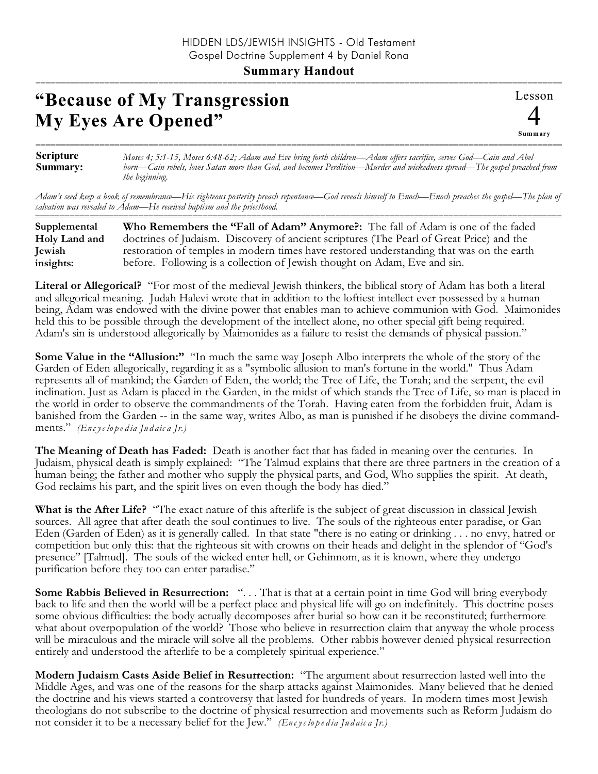## **"Because of My Transgression My Eyes Are Opened"**

Lesson 4 **Summary** ===========================================================================================================

**Scripture Summary:** *Moses 4; 5:1-15, Moses 6:48-62; Adam and Eve bring forth children—Adam offers sacrifice, serves God—Cain and Abel born—Cain rebels, loves Satan more than God, and becomes Perdition—Murder and wickedness spread—The gospel preached from the beginning.*

===========================================================================================================

*Adam's seed keep a book of remembrance—His righteous posterity preach repentance—God reveals himself to Enoch—Enoch preaches the gospel—The plan of salvation was revealed to Adam—He received baptism and the priesthood.*

| Supplemental  | Who Remembers the "Fall of Adam" Anymore?: The fall of Adam is one of the faded          |
|---------------|------------------------------------------------------------------------------------------|
| Holy Land and | doctrines of Judaism. Discovery of ancient scriptures (The Pearl of Great Price) and the |
| <b>Jewish</b> | restoration of temples in modern times have restored understanding that was on the earth |
| insights:     | before. Following is a collection of Jewish thought on Adam, Eve and sin.                |

**Literal or Allegorical?** "For most of the medieval Jewish thinkers, the biblical story of Adam has both a literal and allegorical meaning. Judah Halevi wrote that in addition to the loftiest intellect ever possessed by a human being, Adam was endowed with the divine power that enables man to achieve communion with God. Maimonides held this to be possible through the development of the intellect alone, no other special gift being required. Adam's sin is understood allegorically by Maimonides as a failure to resist the demands of physical passion."

**Some Value in the "Allusion:"** "In much the same way Joseph Albo interprets the whole of the story of the Garden of Eden allegorically, regarding it as a "symbolic allusion to man's fortune in the world." Thus Adam represents all of mankind; the Garden of Eden, the world; the Tree of Life, the Torah; and the serpent, the evil inclination. Just as Adam is placed in the Garden, in the midst of which stands the Tree of Life, so man is placed in the world in order to observe the commandments of the Torah. Having eaten from the forbidden fruit, Adam is banished from the Garden -- in the same way, writes Albo, as man is punished if he disobeys the divine commandments." *(En c yc lo p e d ia Ju d aic a Jr.)*

**The Meaning of Death has Faded:** Death is another fact that has faded in meaning over the centuries. In Judaism, physical death is simply explained: "The Talmud explains that there are three partners in the creation of a human being; the father and mother who supply the physical parts, and God, Who supplies the spirit. At death, God reclaims his part, and the spirit lives on even though the body has died."

**What is the After Life?** "The exact nature of this afterlife is the subject of great discussion in classical Jewish sources. All agree that after death the soul continues to live. The souls of the righteous enter paradise, or Gan Eden (Garden of Eden) as it is generally called. In that state "there is no eating or drinking . . . no envy, hatred or competition but only this: that the righteous sit with crowns on their heads and delight in the splendor of "God's presence" [Talmud]. The souls of the wicked enter hell, or Gehinnom, as it is known, where they undergo purification before they too can enter paradise."

**Some Rabbis Believed in Resurrection:** ". . . That is that at a certain point in time God will bring everybody back to life and then the world will be a perfect place and physical life will go on indefinitely. This doctrine poses some obvious difficulties: the body actually decomposes after burial so how can it be reconstituted; furthermore what about overpopulation of the world? Those who believe in resurrection claim that anyway the whole process will be miraculous and the miracle will solve all the problems. Other rabbis however denied physical resurrection entirely and understood the afterlife to be a completely spiritual experience."

**Modern Judaism Casts Aside Belief in Resurrection:** "The argument about resurrection lasted well into the Middle Ages, and was one of the reasons for the sharp attacks against Maimonides. Many believed that he denied the doctrine and his views started a controversy that lasted for hundreds of years. In modern times most Jewish theologians do not subscribe to the doctrine of physical resurrection and movements such as Reform Judaism do not consider it to be a necessary belief for the Jew." *(En c yc lo p e d ia Ju d aic a Jr.)*